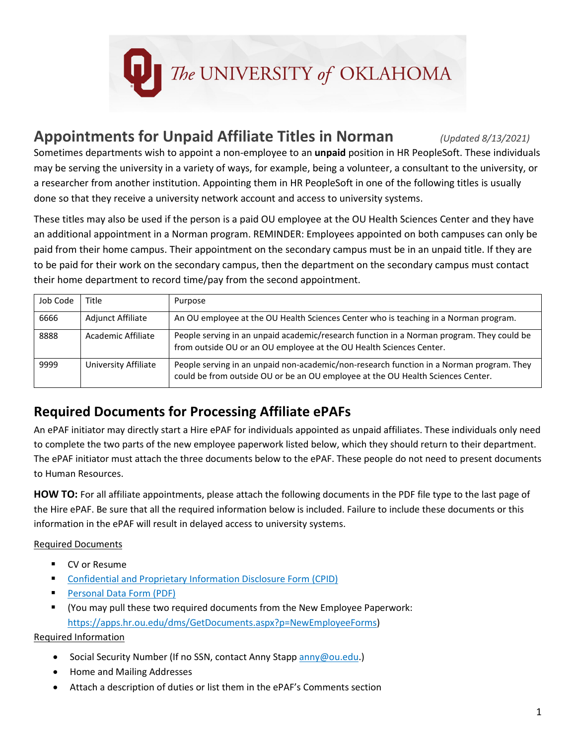

### **Appointments for Unpaid Affiliate Titles in Norman** *(Updated 8/13/2021)*

Sometimes departments wish to appoint a non-employee to an **unpaid** position in HR PeopleSoft. These individuals may be serving the university in a variety of ways, for example, being a volunteer, a consultant to the university, or a researcher from another institution. Appointing them in HR PeopleSoft in one of the following titles is usually done so that they receive a university network account and access to university systems.

These titles may also be used if the person is a paid OU employee at the OU Health Sciences Center and they have an additional appointment in a Norman program. REMINDER: Employees appointed on both campuses can only be paid from their home campus. Their appointment on the secondary campus must be in an unpaid title. If they are to be paid for their work on the secondary campus, then the department on the secondary campus must contact their home department to record time/pay from the second appointment.

| Job Code | Title                | Purpose                                                                                                                                                                     |
|----------|----------------------|-----------------------------------------------------------------------------------------------------------------------------------------------------------------------------|
| 6666     | Adjunct Affiliate    | An OU employee at the OU Health Sciences Center who is teaching in a Norman program.                                                                                        |
| 8888     | Academic Affiliate   | People serving in an unpaid academic/research function in a Norman program. They could be<br>from outside OU or an OU employee at the OU Health Sciences Center.            |
| 9999     | University Affiliate | People serving in an unpaid non-academic/non-research function in a Norman program. They<br>could be from outside OU or be an OU employee at the OU Health Sciences Center. |

#### **Required Documents for Processing Affiliate ePAFs**

An ePAF initiator may directly start a Hire ePAF for individuals appointed as unpaid affiliates. These individuals only need to complete the two parts of the new employee paperwork listed below, which they should return to their department. The ePAF initiator must attach the three documents below to the ePAF. These people do not need to present documents to Human Resources.

**HOW TO:** For all affiliate appointments, please attach the following documents in the PDF file type to the last page of the Hire ePAF. Be sure that all the required information below is included. Failure to include these documents or this information in the ePAF will result in delayed access to university systems.

Required Documents

- **CV** or Resume
- [Confidential and Proprietary Information Disclosure Form \(CPID\)](https://apps.hr.ou.edu/dms/GetDocuments.aspx?q=52573945683765334562554E4A51664E503345304B41253364253364)
- **[Personal Data Form \(PDF\)](https://apps.hr.ou.edu/dms/GetDocuments.aspx?q=56444F634734344967514D6C3638634A305145627267253364253364)**
- (You may pull these two required documents from the New Employee Paperwork: [https://apps.hr.ou.edu/dms/GetDocuments.aspx?p=NewEmployeeForms\)](https://apps.hr.ou.edu/dms/GetDocuments.aspx?p=NewEmployeeForms)

Required Information

- Social Security Number (If no SSN, contact Anny Stapp [anny@ou.edu.](mailto:anny@ou.edu))
- Home and Mailing Addresses
- Attach a description of duties or list them in the ePAF's Comments section